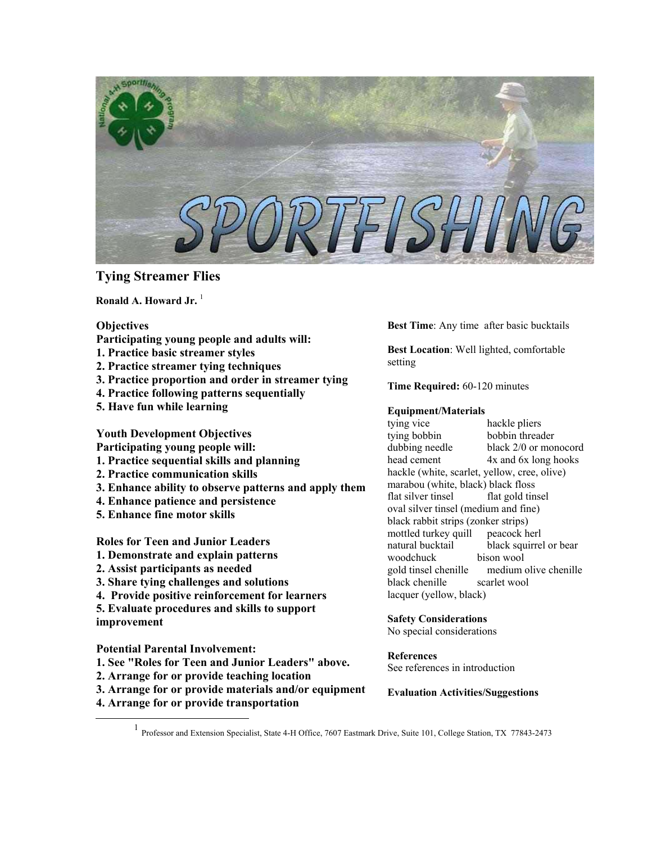

# **Tying Streamer Flies**

**Ronald A. Howard Jr.** <sup>[1](#page-0-0)</sup>

## **Objectives**

- **Participating young people and adults will:**
- **1. Practice basic streamer styles**
- **2. Practice streamer tying techniques**
- **3. Practice proportion and order in streamer tying**
- **4. Practice following patterns sequentially**
- **5. Have fun while learning**

**Youth Development Objectives** 

- **Participating young people will:**
- **1. Practice sequential skills and planning**
- **2. Practice communication skills**
- **3. Enhance ability to observe patterns and apply them**
- **4. Enhance patience and persistence**
- **5. Enhance fine motor skills**

**Roles for Teen and Junior Leaders** 

- **1. Demonstrate and explain patterns**
- **2. Assist participants as needed**
- **3. Share tying challenges and solutions**
- **4. Provide positive reinforcement for learners**
- **5. Evaluate procedures and skills to support**

**improvement** 

**Potential Parental Involvement:** 

- **1. See "Roles for Teen and Junior Leaders" above.**
- **2. Arrange for or provide teaching location**
- **3. Arrange for or provide materials and/or equipment**
- **4. Arrange for or provide transportation**

**Best Time**: Any time after basic bucktails

**Best Location**: Well lighted, comfortable setting

**Time Required:** 60-120 minutes

### **Equipment/Materials**

tying vice hackle pliers tying bobbin bobbin threader dubbing needle black 2/0 or monocord head cement 4x and 6x long hooks hackle (white, scarlet, yellow, cree, olive) marabou (white, black) black floss flat silver tinsel flat gold tinsel oval silver tinsel (medium and fine) black rabbit strips (zonker strips) mottled turkey quill peacock herl natural bucktail black squirrel or bear woodchuck bison wool gold tinsel chenille medium olive chenille black chenille scarlet wool lacquer (yellow, black)

**Safety Considerations** No special considerations

**References** See references in introduction

**Evaluation Activities/Suggestions**

<span id="page-0-0"></span><u>1</u> Professor and Extension Specialist, State 4-H Office, 7607 Eastmark Drive, Suite 101, College Station, TX 77843-2473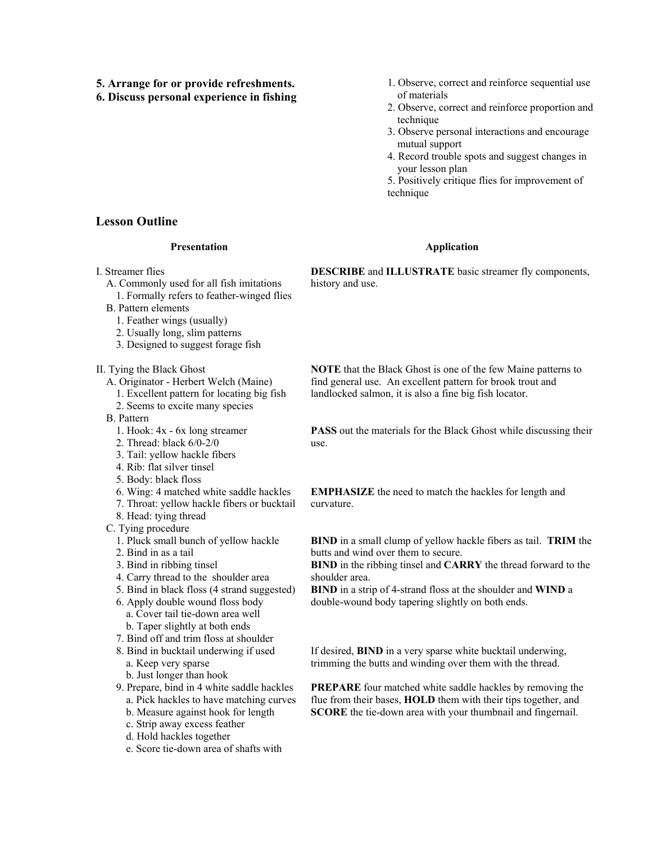- **5. Arrange for or provide refreshments.**
- **6. Discuss personal experience in fishing**
- 1. Observe, correct and reinforce sequential use of materials
- 2. Observe, correct and reinforce proportion and technique
- 3. Observe personal interactions and encourage mutual support
- 4. Record trouble spots and suggest changes in your lesson plan
- 5. Positively critique flies for improvement of technique

### **Application**

**DESCRIBE** and **ILLUSTRATE** basic streamer fly components, history and use.

- B. Pattern elements 1. Feather wings (usually)
	- 2. Usually long, slim patterns
	- 3. Designed to suggest forage fish

**Presentation**

A. Commonly used for all fish imitations 1. Formally refers to feather-winged flies

II. Tying the Black Ghost

**Lesson Outline**

I. Streamer flies

- A. Originator Herbert Welch (Maine)
	- 1. Excellent pattern for locating big fish
	- 2. Seems to excite many species
- B. Pattern
	- 1. Hook: 4x 6x long streamer
	- 2. Thread: black 6/0-2/0
	- 3. Tail: yellow hackle fibers
	- 4. Rib: flat silver tinsel
	- 5. Body: black floss
	- 6. Wing: 4 matched white saddle hackles
	- 7. Throat: yellow hackle fibers or bucktail
	- 8. Head: tying thread
- C. Tying procedure
	- 1. Pluck small bunch of yellow hackle
	- 2. Bind in as a tail
	- 3. Bind in ribbing tinsel
	- 4. Carry thread to the shoulder area
	- 5. Bind in black floss (4 strand suggested)
	- 6. Apply double wound floss body
		- a. Cover tail tie-down area well
		- b. Taper slightly at both ends
	- 7. Bind off and trim floss at shoulder 8. Bind in bucktail underwing if used
		- a. Keep very sparse
		- b. Just longer than hook
	- 9. Prepare, bind in 4 white saddle hackles
		- a. Pick hackles to have matching curves
		- b. Measure against hook for length
		- c. Strip away excess feather
		- d. Hold hackles together
		- e. Score tie-down area of shafts with

**NOTE** that the Black Ghost is one of the few Maine patterns to find general use. An excellent pattern for brook trout and landlocked salmon, it is also a fine big fish locator.

**PASS** out the materials for the Black Ghost while discussing their use.

**EMPHASIZE** the need to match the hackles for length and curvature.

**BIND** in a small clump of yellow hackle fibers as tail. **TRIM** the butts and wind over them to secure.

**BIND** in the ribbing tinsel and **CARRY** the thread forward to the shoulder area.

**BIND** in a strip of 4-strand floss at the shoulder and **WIND** a double-wound body tapering slightly on both ends.

If desired, **BIND** in a very sparse white bucktail underwing, trimming the butts and winding over them with the thread.

**PREPARE** four matched white saddle hackles by removing the flue from their bases, **HOLD** them with their tips together, and **SCORE** the tie-down area with your thumbnail and fingernail.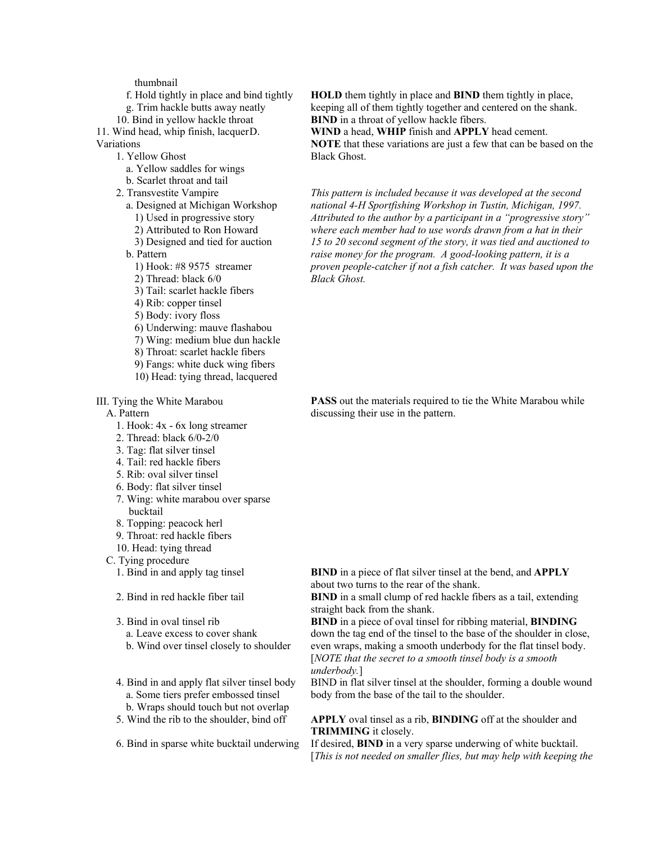thumbnail

f. Hold tightly in place and bind tightly g. Trim hackle butts away neatly

10. Bind in yellow hackle throat

11. Wind head, whip finish, lacquer D. Variations

1. Yellow Ghost

- a. Yellow saddles for wings
- b. Scarlet throat and tail
- 2. Transvestite Vampire
	- a. Designed at Michigan Workshop 1) Used in progressive story
		- 2) Attributed to Ron Howard
	- 3) Designed and tied for auction
	- b. Pattern
		- 1) Hook: #8 9575 streamer
		- 2) Thread: black 6/0
		- 3) Tail: scarlet hackle fibers
		- 4) Rib: copper tinsel
		- 5) Body: ivory floss
		- 6) Underwing: mauve flashabou
		- 7) Wing: medium blue dun hackle
		- 8) Throat: scarlet hackle fibers
		- 9) Fangs: white duck wing fibers
		- 10) Head: tying thread, lacquered

III. Tying the White Marabou

A. Pattern

- 1. Hook: 4x 6x long streamer
- 2. Thread: black 6/0-2/0
- 3. Tag: flat silver tinsel
- 4. Tail: red hackle fibers
- 5. Rib: oval silver tinsel
- 6. Body: flat silver tinsel
- 7. Wing: white marabou over sparse bucktail
- 8. Topping: peacock herl
- 9. Throat: red hackle fibers
- 10. Head: tying thread
- C. Tying procedure
	- 1. Bind in and apply tag tinsel
	- 2. Bind in red hackle fiber tail
	- 3. Bind in oval tinsel rib
		- a. Leave excess to cover shank
		- b. Wind over tinsel closely to shoulder
	- 4. Bind in and apply flat silver tinsel body a. Some tiers prefer embossed tinsel b. Wraps should touch but not overlap
	- 5. Wind the rib to the shoulder, bind off

6. Bind in sparse white bucktail underwing

**HOLD** them tightly in place and **BIND** them tightly in place, keeping all of them tightly together and centered on the shank. **BIND** in a throat of yellow hackle fibers.

**WIND** a head, **WHIP** finish and **APPLY** head cement. **NOTE** that these variations are just a few that can be based on the Black Ghost.

*This pattern is included because it was developed at the second national 4-H Sportfishing Workshop in Tustin, Michigan, 1997. Attributed to the author by a participant in a "progressive story" where each member had to use words drawn from a hat in their 15 to 20 second segment of the story, it was tied and auctioned to raise money for the program. A good-looking pattern, it is a proven people-catcher if not a fish catcher. It was based upon the Black Ghost.*

**PASS** out the materials required to tie the White Marabou while discussing their use in the pattern.

**BIND** in a piece of flat silver tinsel at the bend, and **APPLY** about two turns to the rear of the shank.

**BIND** in a small clump of red hackle fibers as a tail, extending straight back from the shank.

**BIND** in a piece of oval tinsel for ribbing material, **BINDING** down the tag end of the tinsel to the base of the shoulder in close, even wraps, making a smooth underbody for the flat tinsel body. [*NOTE that the secret to a smooth tinsel body is a smooth underbody.*]

BIND in flat silver tinsel at the shoulder, forming a double wound body from the base of the tail to the shoulder.

### **APPLY** oval tinsel as a rib, **BINDING** off at the shoulder and **TRIMMING** it closely.

If desired, **BIND** in a very sparse underwing of white bucktail. [*This is not needed on smaller flies, but may help with keeping the*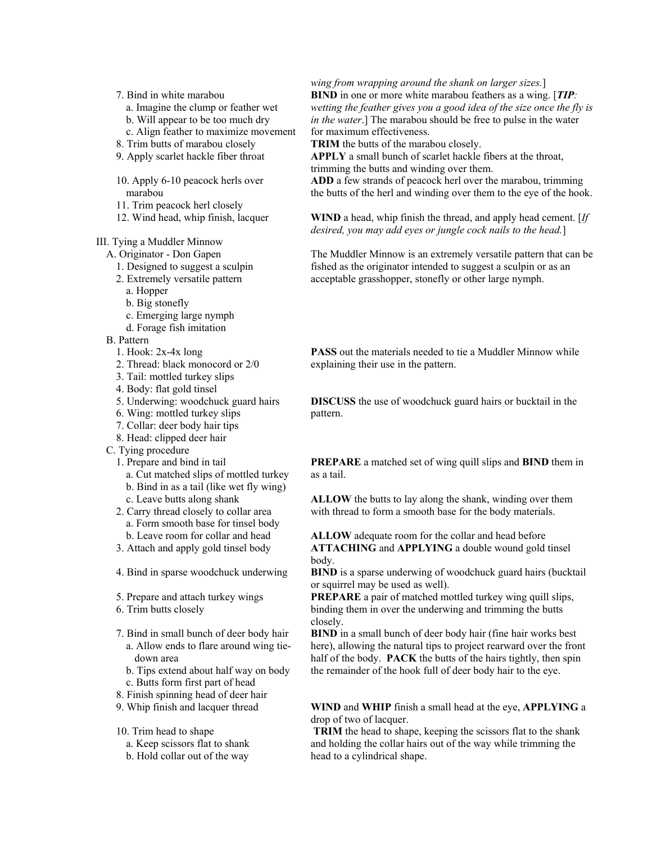- 7. Bind in white marabou
	- a. Imagine the clump or feather wet
	- b. Will appear to be too much dry
	- c. Align feather to maximize movement
- 8. Trim butts of marabou closely
- 9. Apply scarlet hackle fiber throat
- 10. Apply 6-10 peacock herls over marabou
- 11. Trim peacock herl closely
- 12. Wind head, whip finish, lacquer

### III. Tying a Muddler Minnow

- A. Originator Don Gapen
	- 1. Designed to suggest a sculpin
	- 2. Extremely versatile pattern
	- a. Hopper
	- b. Big stonefly
	- c. Emerging large nymph
	- d. Forage fish imitation
- B. Pattern
	- 1. Hook: 2x-4x long
	- 2. Thread: black monocord or 2/0
	- 3. Tail: mottled turkey slips
	- 4. Body: flat gold tinsel
	- 5. Underwing: woodchuck guard hairs
	- 6. Wing: mottled turkey slips
	- 7. Collar: deer body hair tips
	- 8. Head: clipped deer hair
- C. Tying procedure
	- 1. Prepare and bind in tail
		- a. Cut matched slips of mottled turkey
		- b. Bind in as a tail (like wet fly wing)
		- c. Leave butts along shank
	- 2. Carry thread closely to collar area a. Form smooth base for tinsel body b. Leave room for collar and head
	- 3. Attach and apply gold tinsel body
	- 4. Bind in sparse woodchuck underwing
	- 5. Prepare and attach turkey wings
	- 6. Trim butts closely
	- 7. Bind in small bunch of deer body hair a. Allow ends to flare around wing tie down area
		- b. Tips extend about half way on body c. Butts form first part of head
	- 8. Finish spinning head of deer hair
	- 9. Whip finish and lacquer thread
	- 10. Trim head to shape
		- a. Keep scissors flat to shank
		- b. Hold collar out of the way

#### *wing from wrapping around the shank on larger sizes.*] **BIND** in one or more white marabou feathers as a wing. [*TIP: wetting the feather gives you a good idea of the size once the fly is in the water*.] The marabou should be free to pulse in the water for maximum effectiveness.

**TRIM** the butts of the marabou closely.

**APPLY** a small bunch of scarlet hackle fibers at the throat, trimming the butts and winding over them.

**ADD** a few strands of peacock herl over the marabou, trimming the butts of the herl and winding over them to the eye of the hook.

**WIND** a head, whip finish the thread, and apply head cement. [*If desired, you may add eyes or jungle cock nails to the head.*]

The Muddler Minnow is an extremely versatile pattern that can be fished as the originator intended to suggest a sculpin or as an acceptable grasshopper, stonefly or other large nymph.

**PASS** out the materials needed to tie a Muddler Minnow while explaining their use in the pattern.

**DISCUSS** the use of woodchuck guard hairs or bucktail in the pattern.

**PREPARE** a matched set of wing quill slips and **BIND** them in as a tail.

**ALLOW** the butts to lay along the shank, winding over them with thread to form a smooth base for the body materials.

**ALLOW** adequate room for the collar and head before **ATTACHING** and **APPLYING** a double wound gold tinsel body.

**BIND** is a sparse underwing of woodchuck guard hairs (bucktail or squirrel may be used as well).

**PREPARE** a pair of matched mottled turkey wing quill slips, binding them in over the underwing and trimming the butts closely.

**BIND** in a small bunch of deer body hair (fine hair works best here), allowing the natural tips to project rearward over the front half of the body. **PACK** the butts of the hairs tightly, then spin the remainder of the hook full of deer body hair to the eye.

**WIND** and **WHIP** finish a small head at the eye, **APPLYING** a drop of two of lacquer.

**TRIM** the head to shape, keeping the scissors flat to the shank and holding the collar hairs out of the way while trimming the head to a cylindrical shape.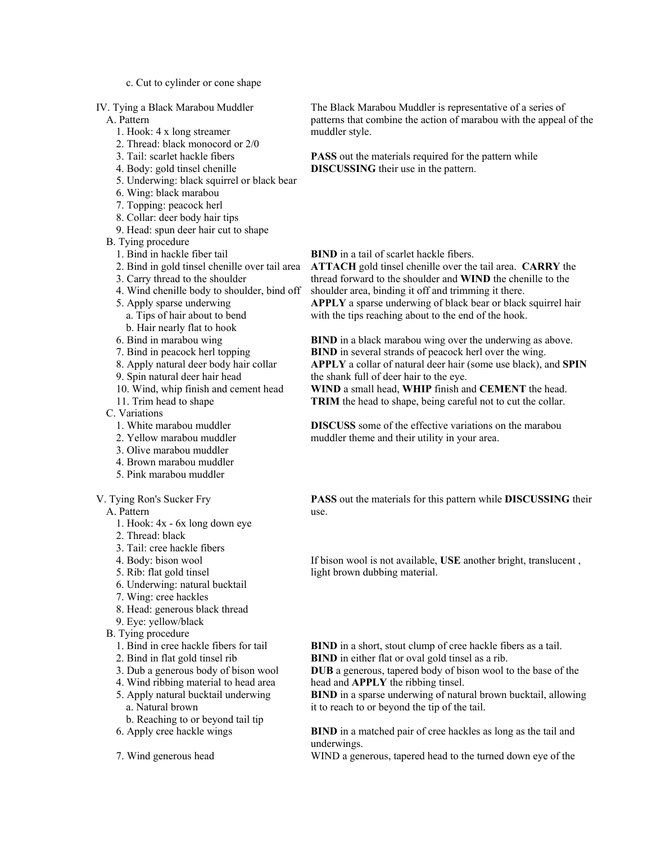c. Cut to cylinder or cone shape

IV. Tying a Black Marabou Muddler

A. Pattern

- 1. Hook: 4 x long streamer
- 2. Thread: black monocord or 2/0
- 3. Tail: scarlet hackle fibers
- 4. Body: gold tinsel chenille
- 5. Underwing: black squirrel or black bear
- 6. Wing: black marabou
- 7. Topping: peacock herl
- 8. Collar: deer body hair tips
- 9. Head: spun deer hair cut to shape
- B. Tying procedure
	- 1. Bind in hackle fiber tail
	- 2. Bind in gold tinsel chenille over tail area
	- 3. Carry thread to the shoulder
	- 4. Wind chenille body to shoulder, bind off
	- 5. Apply sparse underwing
		- a. Tips of hair about to bend
		- b. Hair nearly flat to hook
	- 6. Bind in marabou wing
	- 7. Bind in peacock herl topping
	- 8. Apply natural deer body hair collar
	- 9. Spin natural deer hair head
	- 10. Wind, whip finish and cement head
	- 11. Trim head to shape

C. Variations

- 1. White marabou muddler
- 2. Yellow marabou muddler
- 3. Olive marabou muddler
- 4. Brown marabou muddler
- 5. Pink marabou muddler

V. Tying Ron's Sucker Fry

A. Pattern

- 1. Hook: 4x 6x long down eye
- 2. Thread: black
- 3. Tail: cree hackle fibers
- 4. Body: bison wool
- 5. Rib: flat gold tinsel
- 6. Underwing: natural bucktail
- 7. Wing: cree hackles
- 8. Head: generous black thread
- 9. Eye: yellow/black
- B. Tying procedure
	- 1. Bind in cree hackle fibers for tail
	- 2. Bind in flat gold tinsel rib
	- 3. Dub a generous body of bison wool
	- 4. Wind ribbing material to head area
	- 5. Apply natural bucktail underwing
		- a. Natural brown
	- b. Reaching to or beyond tail tip
	- 6. Apply cree hackle wings

7. Wind generous head

The Black Marabou Muddler is representative of a series of patterns that combine the action of marabou with the appeal of the muddler style.

**PASS** out the materials required for the pattern while **DISCUSSING** their use in the pattern.

**BIND** in a tail of scarlet hackle fibers.

**ATTACH** gold tinsel chenille over the tail area. **CARRY** the thread forward to the shoulder and **WIND** the chenille to the shoulder area, binding it off and trimming it there. **APPLY** a sparse underwing of black bear or black squirrel hair with the tips reaching about to the end of the hook.

**BIND** in a black marabou wing over the underwing as above. **BIND** in several strands of peacock herl over the wing. **APPLY** a collar of natural deer hair (some use black), and **SPIN** the shank full of deer hair to the eye.

**WIND** a small head, **WHIP** finish and **CEMENT** the head. **TRIM** the head to shape, being careful not to cut the collar.

**DISCUSS** some of the effective variations on the marabou muddler theme and their utility in your area.

**PASS** out the materials for this pattern while **DISCUSSING** their use.

If bison wool is not available, **USE** another bright, translucent , light brown dubbing material.

**BIND** in a short, stout clump of cree hackle fibers as a tail. **BIND** in either flat or oval gold tinsel as a rib.

**DUB** a generous, tapered body of bison wool to the base of the head and **APPLY** the ribbing tinsel.

**BIND** in a sparse underwing of natural brown bucktail, allowing it to reach to or beyond the tip of the tail.

**BIND** in a matched pair of cree hackles as long as the tail and underwings.

WIND a generous, tapered head to the turned down eye of the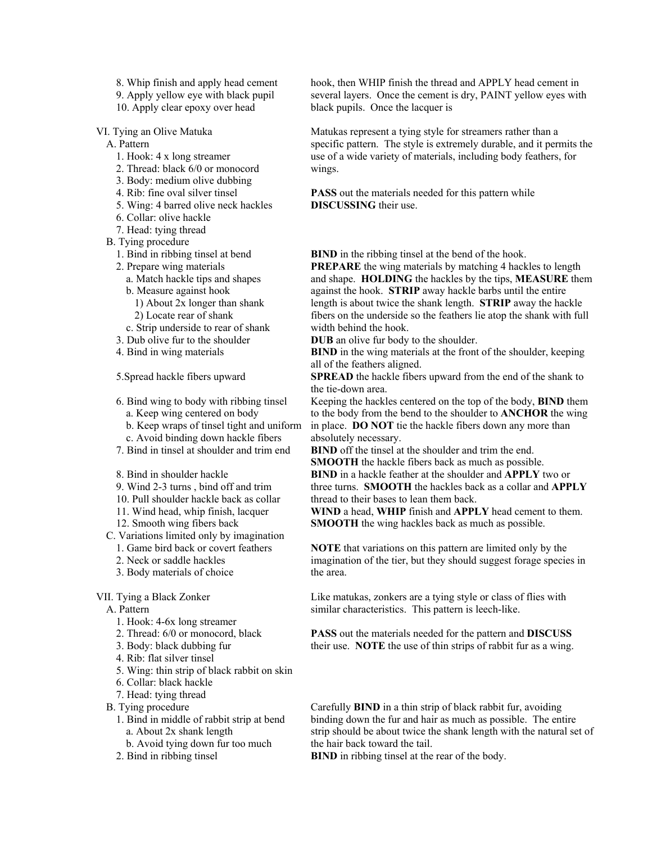- 8. Whip finish and apply head cement
- 9. Apply yellow eye with black pupil
- 10. Apply clear epoxy over head

VI. Tying an Olive Matuka

- A. Pattern
	- 1. Hook: 4 x long streamer
	- 2. Thread: black 6/0 or monocord
	- 3. Body: medium olive dubbing
	- 4. Rib: fine oval silver tinsel
	- 5. Wing: 4 barred olive neck hackles
	- 6. Collar: olive hackle
- 7. Head: tying thread
- B. Tying procedure
	- 1. Bind in ribbing tinsel at bend
	- 2. Prepare wing materials
		- a. Match hackle tips and shapes
		- b. Measure against hook
			- 1) About 2x longer than shank 2) Locate rear of shank
	- c. Strip underside to rear of shank
	- 3. Dub olive fur to the shoulder
	- 4. Bind in wing materials

5.Spread hackle fibers upward

- 6. Bind wing to body with ribbing tinsel a. Keep wing centered on body
	-
	- b. Keep wraps of tinsel tight and uniform
- c. Avoid binding down hackle fibers 7. Bind in tinsel at shoulder and trim end
- 
- 8. Bind in shoulder hackle
- 9. Wind 2-3 turns , bind off and trim
- 10. Pull shoulder hackle back as collar
- 11. Wind head, whip finish, lacquer
- 12. Smooth wing fibers back
- C. Variations limited only by imagination
	- 1. Game bird back or covert feathers
	- 2. Neck or saddle hackles
	- 3. Body materials of choice
- VII. Tying a Black Zonker

A. Pattern

- 1. Hook: 4-6x long streamer
- 2. Thread: 6/0 or monocord, black
- 3. Body: black dubbing fur
- 4. Rib: flat silver tinsel
- 5. Wing: thin strip of black rabbit on skin
- 6. Collar: black hackle
- 7. Head: tying thread
- B. Tying procedure
	- 1. Bind in middle of rabbit strip at bend a. About 2x shank length
		- b. Avoid tying down fur too much
	- 2. Bind in ribbing tinsel

hook, then WHIP finish the thread and APPLY head cement in several layers. Once the cement is dry, PAINT yellow eyes with black pupils. Once the lacquer is

Matukas represent a tying style for streamers rather than a specific pattern. The style is extremely durable, and it permits the use of a wide variety of materials, including body feathers, for wings.

**PASS** out the materials needed for this pattern while **DISCUSSING** their use.

**BIND** in the ribbing tinsel at the bend of the hook.

**PREPARE** the wing materials by matching 4 hackles to length and shape. **HOLDING** the hackles by the tips, **MEASURE** them against the hook. **STRIP** away hackle barbs until the entire length is about twice the shank length. **STRIP** away the hackle fibers on the underside so the feathers lie atop the shank with full width behind the hook.

**DUB** an olive fur body to the shoulder.

**BIND** in the wing materials at the front of the shoulder, keeping all of the feathers aligned.

**SPREAD** the hackle fibers upward from the end of the shank to the tie-down area.

Keeping the hackles centered on the top of the body, **BIND** them to the body from the bend to the shoulder to **ANCHOR** the wing in place. **DO NOT** tie the hackle fibers down any more than absolutely necessary.

**BIND** off the tinsel at the shoulder and trim the end. **SMOOTH** the hackle fibers back as much as possible. **BIND** in a hackle feather at the shoulder and **APPLY** two or three turns. **SMOOTH** the hackles back as a collar and **APPLY** thread to their bases to lean them back.

**WIND** a head, **WHIP** finish and **APPLY** head cement to them. **SMOOTH** the wing hackles back as much as possible.

**NOTE** that variations on this pattern are limited only by the imagination of the tier, but they should suggest forage species in the area.

Like matukas, zonkers are a tying style or class of flies with similar characteristics. This pattern is leech-like.

**PASS** out the materials needed for the pattern and **DISCUSS** their use. **NOTE** the use of thin strips of rabbit fur as a wing.

Carefully **BIND** in a thin strip of black rabbit fur, avoiding binding down the fur and hair as much as possible. The entire strip should be about twice the shank length with the natural set of the hair back toward the tail.

**BIND** in ribbing tinsel at the rear of the body.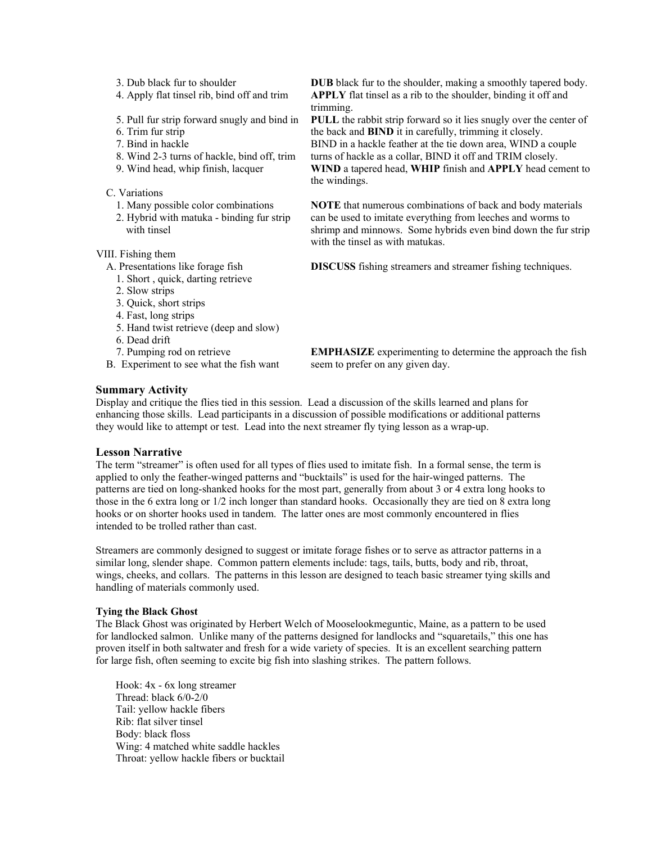- 3. Dub black fur to shoulder
- 4. Apply flat tinsel rib, bind off and trim
- 5. Pull fur strip forward snugly and bind in
- 6. Trim fur strip
- 7. Bind in hackle
- 8. Wind 2-3 turns of hackle, bind off, trim
- 9. Wind head, whip finish, lacquer

C. Variations

- 1. Many possible color combinations
- 2. Hybrid with matuka binding fur strip with tinsel

VIII. Fishing them

- A. Presentations like forage fish
- 1. Short , quick, darting retrieve
- 2. Slow strips
- 3. Quick, short strips
- 4. Fast, long strips
- 5. Hand twist retrieve (deep and slow)
- 6. Dead drift
- 7. Pumping rod on retrieve
- B. Experiment to see what the fish want

**DUB** black fur to the shoulder, making a smoothly tapered body. **APPLY** flat tinsel as a rib to the shoulder, binding it off and trimming.

**PULL** the rabbit strip forward so it lies snugly over the center of the back and **BIND** it in carefully, trimming it closely. BIND in a hackle feather at the tie down area, WIND a couple turns of hackle as a collar, BIND it off and TRIM closely. **WIND** a tapered head, **WHIP** finish and **APPLY** head cement to the windings.

**NOTE** that numerous combinations of back and body materials can be used to imitate everything from leeches and worms to shrimp and minnows. Some hybrids even bind down the fur strip with the tinsel as with matukas.

**DISCUSS** fishing streamers and streamer fishing techniques.

**EMPHASIZE** experimenting to determine the approach the fish seem to prefer on any given day.

### **Summary Activity**

Display and critique the flies tied in this session. Lead a discussion of the skills learned and plans for enhancing those skills. Lead participants in a discussion of possible modifications or additional patterns they would like to attempt or test. Lead into the next streamer fly tying lesson as a wrap-up.

### **Lesson Narrative**

The term "streamer" is often used for all types of flies used to imitate fish. In a formal sense, the term is applied to only the feather-winged patterns and "bucktails" is used for the hair-winged patterns. The patterns are tied on long-shanked hooks for the most part, generally from about 3 or 4 extra long hooks to those in the 6 extra long or 1/2 inch longer than standard hooks. Occasionally they are tied on 8 extra long hooks or on shorter hooks used in tandem. The latter ones are most commonly encountered in flies intended to be trolled rather than cast.

Streamers are commonly designed to suggest or imitate forage fishes or to serve as attractor patterns in a similar long, slender shape. Common pattern elements include: tags, tails, butts, body and rib, throat, wings, cheeks, and collars. The patterns in this lesson are designed to teach basic streamer tying skills and handling of materials commonly used.

#### **Tying the Black Ghost**

The Black Ghost was originated by Herbert Welch of Mooselookmeguntic, Maine, as a pattern to be used for landlocked salmon. Unlike many of the patterns designed for landlocks and "squaretails," this one has proven itself in both saltwater and fresh for a wide variety of species. It is an excellent searching pattern for large fish, often seeming to excite big fish into slashing strikes. The pattern follows.

Hook: 4x - 6x long streamer Thread: black 6/0-2/0 Tail: yellow hackle fibers Rib: flat silver tinsel Body: black floss Wing: 4 matched white saddle hackles Throat: yellow hackle fibers or bucktail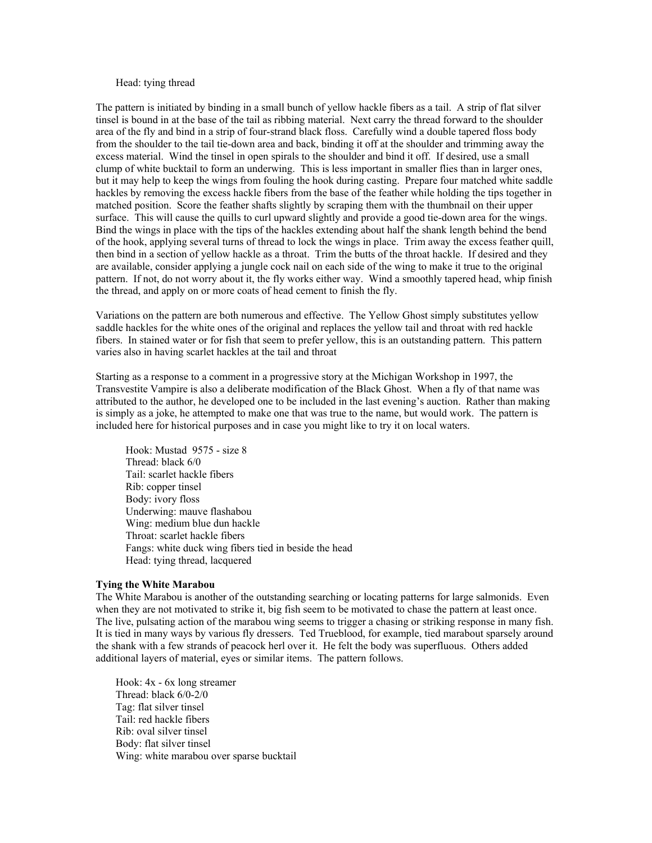#### Head: tying thread

The pattern is initiated by binding in a small bunch of yellow hackle fibers as a tail. A strip of flat silver tinsel is bound in at the base of the tail as ribbing material. Next carry the thread forward to the shoulder area of the fly and bind in a strip of four-strand black floss. Carefully wind a double tapered floss body from the shoulder to the tail tie-down area and back, binding it off at the shoulder and trimming away the excess material. Wind the tinsel in open spirals to the shoulder and bind it off. If desired, use a small clump of white bucktail to form an underwing. This is less important in smaller flies than in larger ones, but it may help to keep the wings from fouling the hook during casting. Prepare four matched white saddle hackles by removing the excess hackle fibers from the base of the feather while holding the tips together in matched position. Score the feather shafts slightly by scraping them with the thumbnail on their upper surface. This will cause the quills to curl upward slightly and provide a good tie-down area for the wings. Bind the wings in place with the tips of the hackles extending about half the shank length behind the bend of the hook, applying several turns of thread to lock the wings in place. Trim away the excess feather quill, then bind in a section of yellow hackle as a throat. Trim the butts of the throat hackle. If desired and they are available, consider applying a jungle cock nail on each side of the wing to make it true to the original pattern. If not, do not worry about it, the fly works either way. Wind a smoothly tapered head, whip finish the thread, and apply on or more coats of head cement to finish the fly.

Variations on the pattern are both numerous and effective. The Yellow Ghost simply substitutes yellow saddle hackles for the white ones of the original and replaces the yellow tail and throat with red hackle fibers. In stained water or for fish that seem to prefer yellow, this is an outstanding pattern. This pattern varies also in having scarlet hackles at the tail and throat

Starting as a response to a comment in a progressive story at the Michigan Workshop in 1997, the Transvestite Vampire is also a deliberate modification of the Black Ghost. When a fly of that name was attributed to the author, he developed one to be included in the last evening's auction. Rather than making is simply as a joke, he attempted to make one that was true to the name, but would work. The pattern is included here for historical purposes and in case you might like to try it on local waters.

Hook: Mustad 9575 - size 8 Thread: black 6/0 Tail: scarlet hackle fibers Rib: copper tinsel Body: ivory floss Underwing: mauve flashabou Wing: medium blue dun hackle Throat: scarlet hackle fibers Fangs: white duck wing fibers tied in beside the head Head: tying thread, lacquered

#### **Tying the White Marabou**

The White Marabou is another of the outstanding searching or locating patterns for large salmonids. Even when they are not motivated to strike it, big fish seem to be motivated to chase the pattern at least once. The live, pulsating action of the marabou wing seems to trigger a chasing or striking response in many fish. It is tied in many ways by various fly dressers. Ted Trueblood, for example, tied marabout sparsely around the shank with a few strands of peacock herl over it. He felt the body was superfluous. Others added additional layers of material, eyes or similar items. The pattern follows.

Hook: 4x - 6x long streamer Thread: black 6/0-2/0 Tag: flat silver tinsel Tail: red hackle fibers Rib: oval silver tinsel Body: flat silver tinsel Wing: white marabou over sparse bucktail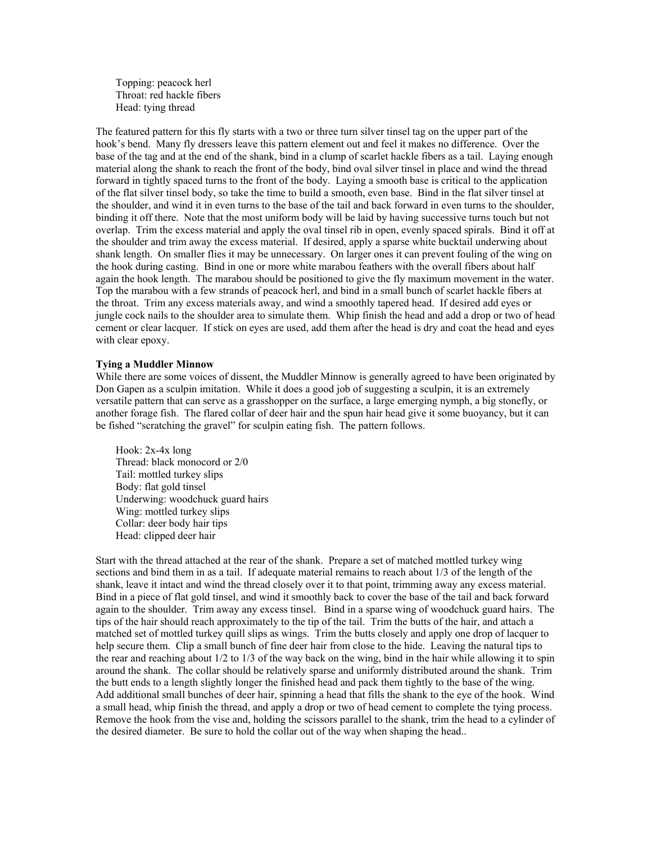Topping: peacock herl Throat: red hackle fibers Head: tying thread

The featured pattern for this fly starts with a two or three turn silver tinsel tag on the upper part of the hook's bend. Many fly dressers leave this pattern element out and feel it makes no difference. Over the base of the tag and at the end of the shank, bind in a clump of scarlet hackle fibers as a tail. Laying enough material along the shank to reach the front of the body, bind oval silver tinsel in place and wind the thread forward in tightly spaced turns to the front of the body. Laying a smooth base is critical to the application of the flat silver tinsel body, so take the time to build a smooth, even base. Bind in the flat silver tinsel at the shoulder, and wind it in even turns to the base of the tail and back forward in even turns to the shoulder, binding it off there. Note that the most uniform body will be laid by having successive turns touch but not overlap. Trim the excess material and apply the oval tinsel rib in open, evenly spaced spirals. Bind it off at the shoulder and trim away the excess material. If desired, apply a sparse white bucktail underwing about shank length. On smaller flies it may be unnecessary. On larger ones it can prevent fouling of the wing on the hook during casting. Bind in one or more white marabou feathers with the overall fibers about half again the hook length. The marabou should be positioned to give the fly maximum movement in the water. Top the marabou with a few strands of peacock herl, and bind in a small bunch of scarlet hackle fibers at the throat. Trim any excess materials away, and wind a smoothly tapered head. If desired add eyes or jungle cock nails to the shoulder area to simulate them. Whip finish the head and add a drop or two of head cement or clear lacquer. If stick on eyes are used, add them after the head is dry and coat the head and eyes with clear epoxy.

#### **Tying a Muddler Minnow**

While there are some voices of dissent, the Muddler Minnow is generally agreed to have been originated by Don Gapen as a sculpin imitation. While it does a good job of suggesting a sculpin, it is an extremely versatile pattern that can serve as a grasshopper on the surface, a large emerging nymph, a big stonefly, or another forage fish. The flared collar of deer hair and the spun hair head give it some buoyancy, but it can be fished "scratching the gravel" for sculpin eating fish. The pattern follows.

Hook: 2x-4x long Thread: black monocord or 2/0 Tail: mottled turkey slips Body: flat gold tinsel Underwing: woodchuck guard hairs Wing: mottled turkey slips Collar: deer body hair tips Head: clipped deer hair

Start with the thread attached at the rear of the shank. Prepare a set of matched mottled turkey wing sections and bind them in as a tail. If adequate material remains to reach about 1/3 of the length of the shank, leave it intact and wind the thread closely over it to that point, trimming away any excess material. Bind in a piece of flat gold tinsel, and wind it smoothly back to cover the base of the tail and back forward again to the shoulder. Trim away any excess tinsel. Bind in a sparse wing of woodchuck guard hairs. The tips of the hair should reach approximately to the tip of the tail. Trim the butts of the hair, and attach a matched set of mottled turkey quill slips as wings. Trim the butts closely and apply one drop of lacquer to help secure them. Clip a small bunch of fine deer hair from close to the hide. Leaving the natural tips to the rear and reaching about 1/2 to 1/3 of the way back on the wing, bind in the hair while allowing it to spin around the shank. The collar should be relatively sparse and uniformly distributed around the shank. Trim the butt ends to a length slightly longer the finished head and pack them tightly to the base of the wing. Add additional small bunches of deer hair, spinning a head that fills the shank to the eye of the hook. Wind a small head, whip finish the thread, and apply a drop or two of head cement to complete the tying process. Remove the hook from the vise and, holding the scissors parallel to the shank, trim the head to a cylinder of the desired diameter. Be sure to hold the collar out of the way when shaping the head..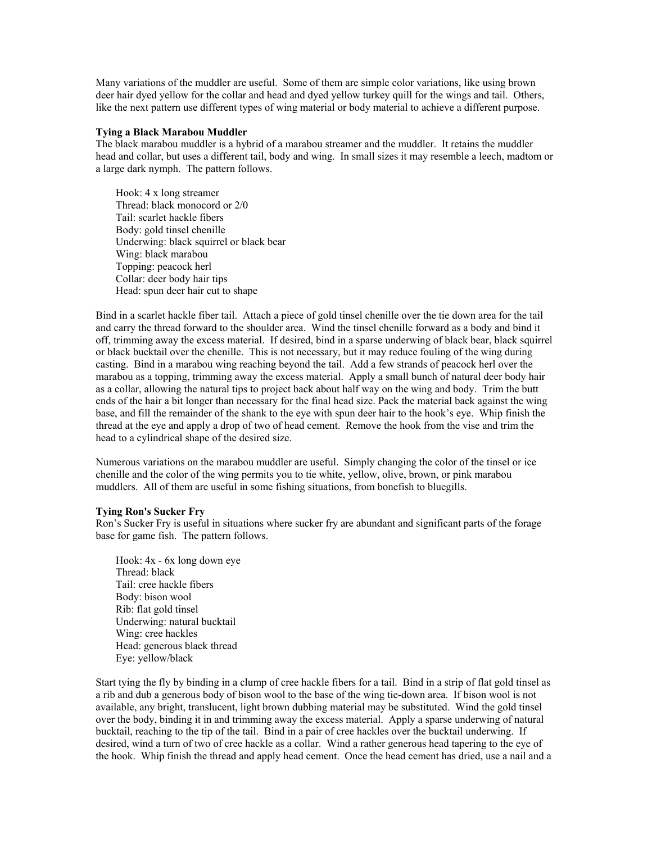Many variations of the muddler are useful. Some of them are simple color variations, like using brown deer hair dyed yellow for the collar and head and dyed yellow turkey quill for the wings and tail. Others, like the next pattern use different types of wing material or body material to achieve a different purpose.

#### **Tying a Black Marabou Muddler**

The black marabou muddler is a hybrid of a marabou streamer and the muddler. It retains the muddler head and collar, but uses a different tail, body and wing. In small sizes it may resemble a leech, madtom or a large dark nymph. The pattern follows.

Hook: 4 x long streamer Thread: black monocord or 2/0 Tail: scarlet hackle fibers Body: gold tinsel chenille Underwing: black squirrel or black bear Wing: black marabou Topping: peacock herl Collar: deer body hair tips Head: spun deer hair cut to shape

Bind in a scarlet hackle fiber tail. Attach a piece of gold tinsel chenille over the tie down area for the tail and carry the thread forward to the shoulder area. Wind the tinsel chenille forward as a body and bind it off, trimming away the excess material. If desired, bind in a sparse underwing of black bear, black squirrel or black bucktail over the chenille. This is not necessary, but it may reduce fouling of the wing during casting. Bind in a marabou wing reaching beyond the tail. Add a few strands of peacock herl over the marabou as a topping, trimming away the excess material. Apply a small bunch of natural deer body hair as a collar, allowing the natural tips to project back about half way on the wing and body. Trim the butt ends of the hair a bit longer than necessary for the final head size. Pack the material back against the wing base, and fill the remainder of the shank to the eye with spun deer hair to the hook's eye. Whip finish the thread at the eye and apply a drop of two of head cement. Remove the hook from the vise and trim the head to a cylindrical shape of the desired size.

Numerous variations on the marabou muddler are useful. Simply changing the color of the tinsel or ice chenille and the color of the wing permits you to tie white, yellow, olive, brown, or pink marabou muddlers. All of them are useful in some fishing situations, from bonefish to bluegills.

#### **Tying Ron's Sucker Fry**

Ron's Sucker Fry is useful in situations where sucker fry are abundant and significant parts of the forage base for game fish. The pattern follows.

Hook: 4x - 6x long down eye Thread: black Tail: cree hackle fibers Body: bison wool Rib: flat gold tinsel Underwing: natural bucktail Wing: cree hackles Head: generous black thread Eye: yellow/black

Start tying the fly by binding in a clump of cree hackle fibers for a tail. Bind in a strip of flat gold tinsel as a rib and dub a generous body of bison wool to the base of the wing tie-down area. If bison wool is not available, any bright, translucent, light brown dubbing material may be substituted. Wind the gold tinsel over the body, binding it in and trimming away the excess material. Apply a sparse underwing of natural bucktail, reaching to the tip of the tail. Bind in a pair of cree hackles over the bucktail underwing. If desired, wind a turn of two of cree hackle as a collar. Wind a rather generous head tapering to the eye of the hook. Whip finish the thread and apply head cement. Once the head cement has dried, use a nail and a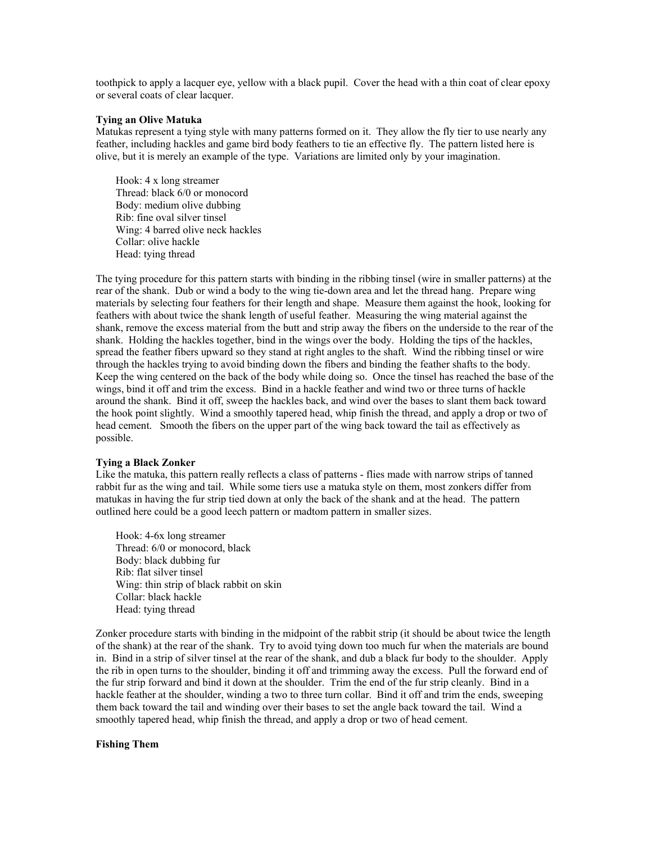toothpick to apply a lacquer eye, yellow with a black pupil. Cover the head with a thin coat of clear epoxy or several coats of clear lacquer.

#### **Tying an Olive Matuka**

Matukas represent a tying style with many patterns formed on it. They allow the fly tier to use nearly any feather, including hackles and game bird body feathers to tie an effective fly. The pattern listed here is olive, but it is merely an example of the type. Variations are limited only by your imagination.

Hook: 4 x long streamer Thread: black 6/0 or monocord Body: medium olive dubbing Rib: fine oval silver tinsel Wing: 4 barred olive neck hackles Collar: olive hackle Head: tying thread

The tying procedure for this pattern starts with binding in the ribbing tinsel (wire in smaller patterns) at the rear of the shank. Dub or wind a body to the wing tie-down area and let the thread hang. Prepare wing materials by selecting four feathers for their length and shape. Measure them against the hook, looking for feathers with about twice the shank length of useful feather. Measuring the wing material against the shank, remove the excess material from the butt and strip away the fibers on the underside to the rear of the shank. Holding the hackles together, bind in the wings over the body. Holding the tips of the hackles, spread the feather fibers upward so they stand at right angles to the shaft. Wind the ribbing tinsel or wire through the hackles trying to avoid binding down the fibers and binding the feather shafts to the body. Keep the wing centered on the back of the body while doing so. Once the tinsel has reached the base of the wings, bind it off and trim the excess. Bind in a hackle feather and wind two or three turns of hackle around the shank. Bind it off, sweep the hackles back, and wind over the bases to slant them back toward the hook point slightly. Wind a smoothly tapered head, whip finish the thread, and apply a drop or two of head cement. Smooth the fibers on the upper part of the wing back toward the tail as effectively as possible.

#### **Tying a Black Zonker**

Like the matuka, this pattern really reflects a class of patterns - flies made with narrow strips of tanned rabbit fur as the wing and tail. While some tiers use a matuka style on them, most zonkers differ from matukas in having the fur strip tied down at only the back of the shank and at the head. The pattern outlined here could be a good leech pattern or madtom pattern in smaller sizes.

Hook: 4-6x long streamer Thread: 6/0 or monocord, black Body: black dubbing fur Rib: flat silver tinsel Wing: thin strip of black rabbit on skin Collar: black hackle Head: tying thread

Zonker procedure starts with binding in the midpoint of the rabbit strip (it should be about twice the length of the shank) at the rear of the shank. Try to avoid tying down too much fur when the materials are bound in. Bind in a strip of silver tinsel at the rear of the shank, and dub a black fur body to the shoulder. Apply the rib in open turns to the shoulder, binding it off and trimming away the excess. Pull the forward end of the fur strip forward and bind it down at the shoulder. Trim the end of the fur strip cleanly. Bind in a hackle feather at the shoulder, winding a two to three turn collar. Bind it off and trim the ends, sweeping them back toward the tail and winding over their bases to set the angle back toward the tail. Wind a smoothly tapered head, whip finish the thread, and apply a drop or two of head cement.

### **Fishing Them**